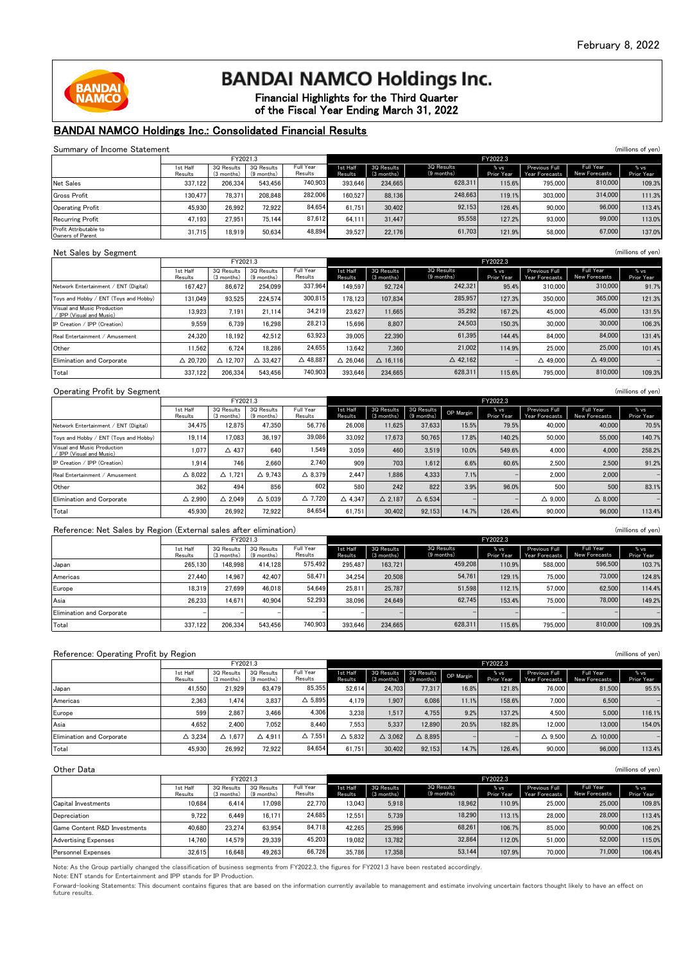

# **BANDAI NAMCO Holdings Inc.**

Financial Highlights for the Third Quarter of the Fiscal Year Ending March 31, 2022

#### BANDAI NAMCO Holdings Inc.: Consolidated Financial Results

| Summary of Income Statement                |                     |                          |                            |                      |                     |                          |                            |                    |                                        |                            | (millions of yen)  |
|--------------------------------------------|---------------------|--------------------------|----------------------------|----------------------|---------------------|--------------------------|----------------------------|--------------------|----------------------------------------|----------------------------|--------------------|
|                                            | FY2021.3            |                          |                            |                      | FY2022.3            |                          |                            |                    |                                        |                            |                    |
|                                            | 1st Half<br>Results | 3Q Results<br>(3 months) | 3Q Results<br>$(9$ months) | Full Year<br>Results | 1st Half<br>Results | 3Q Results<br>(3 months) | 3Q Results<br>$(9$ months) | % vs<br>Prior Year | <b>Previous Full</b><br>Year Forecasts | Full Year<br>New Forecasts | % vs<br>Prior Year |
| Net Sales                                  | 337.122             | 206.334                  | 543.456                    | 740.903              | 393.646             | 234.665                  | 628.311                    | 115.6%             | 795.000                                | 810,000                    | 109.3%             |
| <b>Gross Profit</b>                        | 130.477             | 78.371                   | 208.848                    | 282,006              | 160.527             | 88.136                   | 248.663                    | 119.1%             | 303,000                                | 314,000                    | 111.3%             |
| <b>Operating Profit</b>                    | 45.930              | 26.992                   | 72.922                     | 84.654               | 61.751              | 30,402                   | 92.153                     | 126.4%             | 90,000                                 | 96,000                     | 113.4%             |
| <b>Recurring Profit</b>                    | 47.193              | 27.951                   | 75.144                     | 87.612               | 64.111              | 31,447                   | 95,558                     | 127.2%             | 93,000                                 | 99,000                     | 113.0%             |
| Profit Attributable to<br>Owners of Parent | 31.715              | 18.919                   | 50.634                     | 48.894               | 39.527              | 22.176                   | 61.703                     | 121.9%             | 58,000                                 | 67,000                     | 137.0%             |

#### Net Sales by Segment (millions of yen)

| <b>NOC OUNCS BY OCATIONS</b>                            |                     |                          |                          |                      |                     |                          |                          |                    |                                 |                                   |                    |
|---------------------------------------------------------|---------------------|--------------------------|--------------------------|----------------------|---------------------|--------------------------|--------------------------|--------------------|---------------------------------|-----------------------------------|--------------------|
|                                                         |                     | FY2021.3                 |                          |                      |                     |                          |                          | FY2022.3           |                                 |                                   |                    |
|                                                         | 1st Half<br>Results | 3Q Results<br>(3 months) | 3Q Results<br>(9 months) | Full Year<br>Results | 1st Half<br>Results | 3Q Results<br>(3 months) | 3Q Results<br>(9 months) | % vs<br>Prior Year | Previous Full<br>Year Forecasts | Full Year<br><b>New Forecasts</b> | % vs<br>Prior Year |
| Network Entertainment / ENT (Digital)                   | 167.427             | 86.672                   | 254.099                  | 337.964              | 149.597             | 92.724                   | 242.321                  | 95.4%              | 310,000                         | 310,000                           | 91.7%              |
| Tovs and Hobby / ENT (Tovs and Hobby)                   | 131.049             | 93.525                   | 224.574                  | 300.815              | 178.123             | 107.834                  | 285.957                  | 127.3%             | 350,000                         | 365,000                           | 121.3%             |
| Visual and Music Production<br>/ IPP (Visual and Music) | 13.923              | 7.191                    | 21.114                   | 34.219               | 23.627              | 11.665                   | 35.292                   | 167.2%             | 45,000                          | 45,000                            | 131.5%             |
| IP Creation / IPP (Creation)                            | 9.559               | 6.739                    | 16.298                   | 28.213               | 15.696              | 8.807                    | 24.503                   | 150.3%             | 30,000                          | 30,000                            | 106.3%             |
| Real Entertainment / Amusement                          | 24.320              | 18.192                   | 42.512                   | 63,923               | 39,005              | 22.390                   | 61,395                   | 144.4%             | 84,000                          | 84,000                            | 131.4%             |
| Other                                                   | 1.562               | 6.724                    | 18.286                   | 24.655               | 13.642              | 7.360                    | 21,002                   | 114.9%             | 25,000                          | 25,000                            | 101.4%             |
| Elimination and Corporate                               | $\triangle$ 20.720  | $\triangle$ 12.707       | $\triangle$ 33.427       | $\triangle$ 48.887   | $\triangle$ 26.046  | $\Delta$ 16.116          | $\triangle$ 42.162       |                    | $\triangle$ 49.000              | $\triangle$ 49,000                |                    |
| Total                                                   | 337.122             | 206.334                  | 543.456                  | 740.903              | 393.646             | 234.665                  | 628.311                  | 115.6%             | 795,000                         | 810,000                           | 109.3%             |

#### Operating Profit by Segment (millions of yen)

|                                                         |                     | FY2021.3                 |                          |                      |                     | FY2022.3                 |                            |           |                    |                                        |                            |                    |
|---------------------------------------------------------|---------------------|--------------------------|--------------------------|----------------------|---------------------|--------------------------|----------------------------|-----------|--------------------|----------------------------------------|----------------------------|--------------------|
|                                                         | 1st Half<br>Results | 3Q Results<br>(3 months) | 3Q Results<br>(9 months) | Full Year<br>Results | 1st Half<br>Results | 3Q Results<br>(3 months) | 3Q Results<br>$(9$ months) | OP Margin | % vs<br>Prior Year | <b>Previous Full</b><br>Year Forecasts | Full Year<br>New Forecasts | % vs<br>Prior Year |
| Network Entertainment / ENT (Digital)                   | 34.475              | 12.875                   | 47.350                   | 56.776               | 26,008              | 11.625                   | 37.633                     | 15.5%     | 79.5%              | 40,000                                 | 40,000                     | 70.5%              |
| Tovs and Hobby / ENT (Tovs and Hobby)                   | 19.114              | 17.083                   | 36.197                   | 39,086               | 33.092              | 17.673                   | 50.765                     | 17.8%     | 140.2%             | 50,000                                 | 55,000                     | 140.7%             |
| Visual and Music Production<br>/ IPP (Visual and Music) | 1.077               | $\triangle$ 437          | 640                      | 1.549                | 3.059               | 460                      | 3.519                      | 10.0%     | 549.6%             | 4.000                                  | 4.000                      | 258.2%             |
| IP Creation / IPP (Creation)                            | 1.914               | 746                      | 2.660                    | 2.740                | 909                 | 703                      | 1.612                      | 6.6%      | 60.6%              | 2.500                                  | 2.500                      | 91.2%              |
| Real Entertainment / Amusement                          | $\triangle$ 8.022   | $\triangle$ 1.721        | $\triangle$ 9.743        | $\triangle$ 8.379    | 2.447               | 1.886                    | 4.333                      | 7.1%      |                    | 2.000                                  | 2.000                      |                    |
| Other                                                   | 362                 | 494                      | 856                      | 602                  | 580                 | 242                      | 822                        | 3.9%      | 96.0%              | 500                                    | 500                        | 83.1%              |
| Elimination and Corporate                               | $\triangle$ 2.990   | $\triangle$ 2.049        | $\triangle$ 5.039        | $\triangle$ 7.720    | $\triangle$ 4.347   | $\triangle$ 2.187        | $\triangle$ 6.534          |           |                    | $\triangle$ 9.000                      | $\triangle$ 8.000          |                    |
| Total                                                   | 45.930              | 26.992                   | 72.922                   | 84.654               | 61.751              | 30.402                   | 92.153                     | 14.7%     | 126.4%             | 90,000                                 | 96.000                     | 113.4%             |

#### Reference: Net Sales by Region (External sales after elimination) (millions of yen) (millions of yen)

| $\frac{1}{2}$                    |                     |                          |                          |                      |                     |                          |                            |                    |                                        |                                   |                    |  |
|----------------------------------|---------------------|--------------------------|--------------------------|----------------------|---------------------|--------------------------|----------------------------|--------------------|----------------------------------------|-----------------------------------|--------------------|--|
|                                  |                     | FY2021.3                 |                          |                      |                     | FY2022.3                 |                            |                    |                                        |                                   |                    |  |
|                                  | 1st Half<br>Results | 3Q Results<br>(3 months) | 3Q Results<br>(9 months) | Full Year<br>Results | 1st Half<br>Results | 3Q Results<br>(3 months) | 3Q Results<br>$(9$ months) | % vs<br>Prior Year | <b>Previous Full</b><br>Year Forecasts | Full Year<br><b>New Forecasts</b> | % vs<br>Prior Year |  |
| Japan                            | 265.130             | 148.998                  | 414.128                  | 575.492              | 295.487             | 163.721                  | 459.208                    | 110.9%             | 588,000                                | 596,500                           | 103.7%             |  |
| Americas                         | 27.440              | 14.967                   | 42.407                   | 58.471               | 34.254              | 20,508                   | 54.761                     | 129.1%             | 75,000                                 | 73,000                            | 124.8%             |  |
| Europe                           | 18.319              | 27.699                   | 46.018                   | 54.649               | 25.811              | 25,787                   | 51.598                     | 112.1%             | 57,000                                 | 62.500                            | 114.4%             |  |
| Asia                             | 26.233              | 14.671                   | 40.904                   | 52.293               | 38.096              | 24.649                   | 62.745                     | 153.4%             | 75,000                                 | 78,000                            | 149.2%             |  |
| <b>Elimination and Corporate</b> |                     |                          |                          |                      |                     |                          |                            |                    |                                        |                                   |                    |  |
| Total                            | 337.122             | 206.334                  | 543.456                  | 740.903              | 393.646             | 234.665                  | 628.311                    | 115.6%             | 795,000                                | 810,000                           | 109.3%             |  |

|                           | Reference: Operating Profit by Region<br>(millions of yen) |                          |                          |                      |                     |                          |                            |           |                    |                                        |                            |                    |
|---------------------------|------------------------------------------------------------|--------------------------|--------------------------|----------------------|---------------------|--------------------------|----------------------------|-----------|--------------------|----------------------------------------|----------------------------|--------------------|
|                           |                                                            | FY2021.3                 |                          |                      |                     | FY2022.3                 |                            |           |                    |                                        |                            |                    |
|                           | 1st Half<br>Results                                        | 3Q Results<br>(3 months) | 3Q Results<br>(9 months) | Full Year<br>Results | 1st Half<br>Results | 3Q Results<br>(3 months) | 3Q Results<br>$(9$ months) | OP Margin | % vs<br>Prior Year | <b>Previous Full</b><br>Year Forecasts | Full Year<br>New Forecasts | % vs<br>Prior Year |
| Japan                     | 41.550                                                     | 21.929                   | 63.479                   | 85,355               | 52.614              | 24.703                   | 77.317                     | 16.8%     | 121.8%             | 76,000                                 | 81,500                     | 95.5%              |
| Americas                  | 2.363                                                      | 1.474                    | 3.837                    | $\triangle$ 5.895    | 4.179               | 1.907                    | 6.086                      | 11.1%     | 158.6%             | 7.000                                  | 6.500                      |                    |
| Europe                    | 599                                                        | 2.867                    | 3.466                    | 4.306                | 3.238               | 1.517                    | 4.755                      | 9.2%      | 137.2%             | 4.500                                  | 5.000                      | 116.1%             |
| Asia                      | 4.652                                                      | 2.400                    | 7.052                    | 8.440                | 7.553               | 5.337                    | 12.890                     | 20.5%     | 182.8%             | 12.000                                 | 13,000                     | 154.0%             |
| Elimination and Corporate | $\triangle$ 3.234                                          | $\triangle$ 1.677        | $\triangle$ 4.911        | $\triangle$ 7.551    | $\triangle$ 5.832   | $\triangle$ 3.062        | $\triangle$ 8.895          |           |                    | $\triangle$ 9.500                      | $\triangle$ 10,000         |                    |
| Total                     | 45,930                                                     | 26.992                   | 72.922                   | 84.654               | 61.751              | 30,402                   | 92.153                     | 14.7%     | 126.4%             | 90,000                                 | 96,000                     | 113.4%             |

| Other Data                   |                     |                          |                            |                      |                     |                          |                            |                    |                                        | (millions of yen)                 |                    |  |
|------------------------------|---------------------|--------------------------|----------------------------|----------------------|---------------------|--------------------------|----------------------------|--------------------|----------------------------------------|-----------------------------------|--------------------|--|
|                              | FY2021.3            |                          |                            |                      |                     | FY2022.3                 |                            |                    |                                        |                                   |                    |  |
|                              | 1st Half<br>Results | 30 Results<br>(3 months) | 3Q Results<br>$(9$ months) | Full Year<br>Results | 1st Half<br>Results | 3Q Results<br>(3 months) | 3Q Results<br>$(9$ months) | % vs<br>Prior Year | <b>Previous Full</b><br>Year Forecasts | Full Year<br><b>New Forecasts</b> | % vs<br>Prior Year |  |
| Capital Investments          | 10.684              | 6.414                    | 17.098                     | 22.770               | 13.043              | 5.918                    | 18.962                     | 110.9%             | 25,000                                 | 25,000                            | 109.8%             |  |
| Depreciation                 | 9.722               | 6.449                    | 16.171                     | 24.685               | 12.551              | 5.739                    | 18.290                     | 113.1%             | 28,000                                 | 28,000                            | 113.4%             |  |
| Game Content R&D Investments | 40.680              | 23.274                   | 63.954                     | 84.718               | 42.265              | 25.996                   | 68.261                     | 106.7%             | 85,000                                 | 90,000                            | 106.2%             |  |
| <b>Advertising Expenses</b>  | 14.760              | 14.579                   | 29.339                     | 45.203               | 19.082              | 13.782                   | 32.864                     | 112.0%             | 51,000                                 | 52,000                            | 115.0%             |  |
| <b>Personnel Expenses</b>    | 32.615              | 16.648                   | 49.263                     | 66.726               | 35.786              | 17.358                   | 53.144                     | 107.9%             | 70,000                                 | 71,000                            | 106.4%             |  |

Note: As the Group partially changed the classification of business segments from FY2022.3, the figures for FY2021.3 have been restated accordingly.

Note: ENT stands for Entertainment and IPP stands for IP Production.

Forward-looking Statements: This document contains figures that are based on the information currently available to management and estimate involving uncertain factors thought likely to have an effect on future results.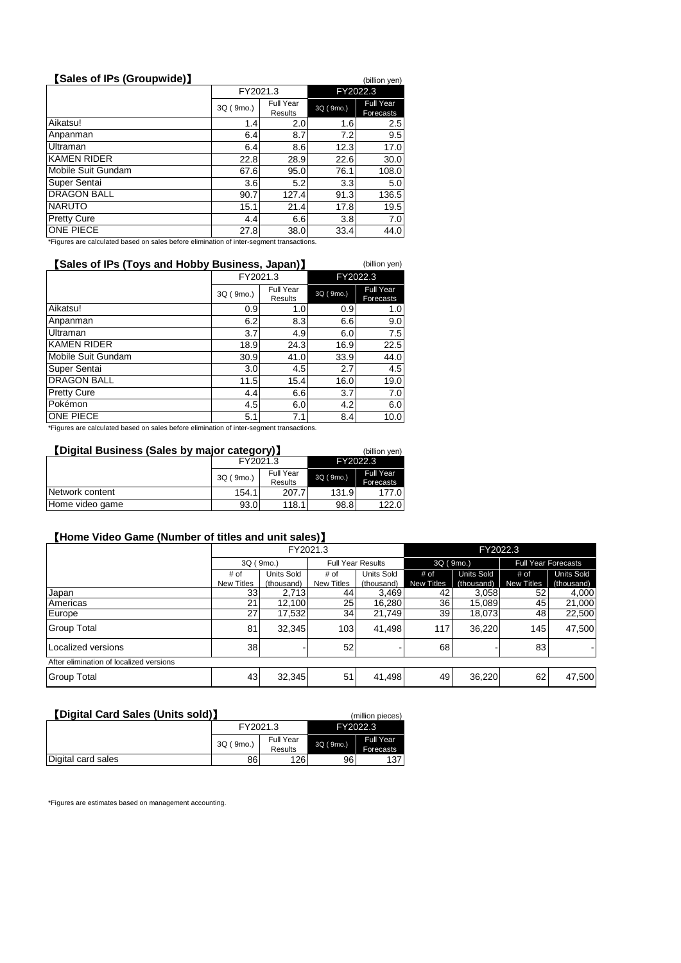| [Sales of IPs (Groupwide)] |           |                             |           | (billion yen)                        |
|----------------------------|-----------|-----------------------------|-----------|--------------------------------------|
|                            | FY2021.3  |                             | FY2022.3  |                                      |
|                            | 3Q (9mo.) | <b>Full Year</b><br>Results | 3Q (9mo.) | <b>Full Year</b><br><b>Forecasts</b> |
| Aikatsu!                   | 1.4       | 2.0                         | 1.6       | 2.5                                  |
| Anpanman                   | 6.4       | 8.7                         | 7.2       | 9.5                                  |
| Ultraman                   | 6.4       | 8.6                         | 12.3      | 17.0                                 |
| <b>KAMEN RIDER</b>         | 22.8      | 28.9                        | 22.6      | 30.0                                 |
| Mobile Suit Gundam         | 67.6      | 95.0                        | 76.1      | 108.0                                |
| Super Sentai               | 3.6       | 5.2                         | 3.3       | 5.0                                  |
| <b>DRAGON BALL</b>         | 90.7      | 127.4                       | 91.3      | 136.5                                |
| <b>NARUTO</b>              | 15.1      | 21.4                        | 17.8      | 19.5                                 |
| <b>Pretty Cure</b>         | 4.4       | 6.6                         | 3.8       | 7.0                                  |
| ONE PIECE                  | 27.8      | 38.0                        | 33.4      | 44.0                                 |
|                            |           |                             |           |                                      |

\*Figures are calculated based on sales before elimination of inter-segment transactions.

| [Sales of IPs (Toys and Hobby Business, Japan)]<br>(billion yen) |           |                      |           |                        |  |  |  |  |  |
|------------------------------------------------------------------|-----------|----------------------|-----------|------------------------|--|--|--|--|--|
|                                                                  | FY2021.3  |                      | FY2022.3  |                        |  |  |  |  |  |
|                                                                  | 3Q (9mo.) | Full Year<br>Results | 3Q (9mo.) | Full Year<br>Forecasts |  |  |  |  |  |
| Aikatsu!                                                         | 0.9       | 1.0                  | 0.9       | 1.0 <sub>l</sub>       |  |  |  |  |  |
| Anpanman                                                         | 6.2       | 8.3                  | 6.6       | 9.0                    |  |  |  |  |  |
| Ultraman                                                         | 3.7       | 4.9                  | 6.0       | 7.5                    |  |  |  |  |  |
| <b>KAMEN RIDER</b>                                               | 18.9      | 24.3                 | 16.9      | 22.5                   |  |  |  |  |  |
| Mobile Suit Gundam                                               | 30.9      | 41.0                 | 33.9      | 44.0                   |  |  |  |  |  |
| Super Sentai                                                     | 3.0       | 4.5                  | 2.7       | 4.5                    |  |  |  |  |  |
| <b>DRAGON BALL</b>                                               | 11.5      | 15.4                 | 16.0      | 19.0                   |  |  |  |  |  |
| <b>Pretty Cure</b>                                               | 4.4       | 6.6                  | 3.7       | 7.0                    |  |  |  |  |  |
| Pokémon                                                          | 4.5       | 6.0                  | 4.2       | 6.0                    |  |  |  |  |  |
| ONE PIECE                                                        | 5.1       | 7.1                  | 8.4       | 10.0                   |  |  |  |  |  |

\*Figures are calculated based on sales before elimination of inter-segment transactions.

## 【**Digital Business (Sales by major category)**】 (billion yen)

|                 | FY2021.3  |                  |           | FY2022.3         |
|-----------------|-----------|------------------|-----------|------------------|
|                 | 3Q (9mo.) | <b>Full Year</b> | 3Q (9mo.) | <b>Full Year</b> |
|                 |           | Results          |           | Forecasts        |
| Network content | 154.1     | 207.7            | 131.9     | 177.0            |
| Home video game | 93.0      | 118.1            | 98.8      | 122.0            |

## 【**Home Video Game (Number of titles and unit sales)**】

|                                         |                   | FY2021.3          |                   |                          | FY2022.3          |                   |                            |            |  |  |
|-----------------------------------------|-------------------|-------------------|-------------------|--------------------------|-------------------|-------------------|----------------------------|------------|--|--|
|                                         | 3Q (9mo.)         |                   |                   | <b>Full Year Results</b> | 3Q (9mo.)         |                   | <b>Full Year Forecasts</b> |            |  |  |
|                                         | # of              | <b>Units Sold</b> |                   | <b>Units Sold</b>        | # of              | <b>Units Sold</b> | # of                       | Units Sold |  |  |
|                                         | <b>New Titles</b> | (thousand)        | <b>New Titles</b> | (thousand)               | <b>New Titles</b> | (thousand)        | <b>New Titles</b>          | (thousand) |  |  |
| Japan                                   | 33                | 2,713             | 44                | 3,469                    | 42                | 3,058             | 52                         | 4,000      |  |  |
| Americas                                | 21                | 12,100            | 25                | 16,280                   | 36                | 15,089            | 45                         | 21,000     |  |  |
| Europe                                  | 27                | 17,532            | 34 I              | 21,749                   | 39 l              | 18,073            | 48                         | 22,500     |  |  |
| <b>Group Total</b>                      | 81                | 32,345            | 103               | 41.498                   | 117               | 36,220            | 145                        | 47,500     |  |  |
| I Localized versions                    | 38                |                   | 52                |                          | 68                |                   | 83                         |            |  |  |
| After elimination of localized versions |                   |                   |                   |                          |                   |                   |                            |            |  |  |
| <b>Group Total</b>                      | 43                | 32,345            | 51                | 41,498                   | 49                | 36,220            | 62                         | 47,500     |  |  |

#### 【**Digital Card Sales (Units sold)**】 (million pieces)

| LUIGICA CAIU JAICS (UIIILS SUIUI) |           |                             |                 | THILIOH DIECEST        |  |
|-----------------------------------|-----------|-----------------------------|-----------------|------------------------|--|
|                                   | FY2021.3  |                             | FY2022.3        |                        |  |
|                                   | 3Q (9mo.) | <b>Full Year</b><br>Results | 3Q (9mo.)       | Full Year<br>Forecasts |  |
| Digital card sales                | 86        | 126                         | 96 <sub>1</sub> | 137                    |  |

\*Figures are estimates based on management accounting.